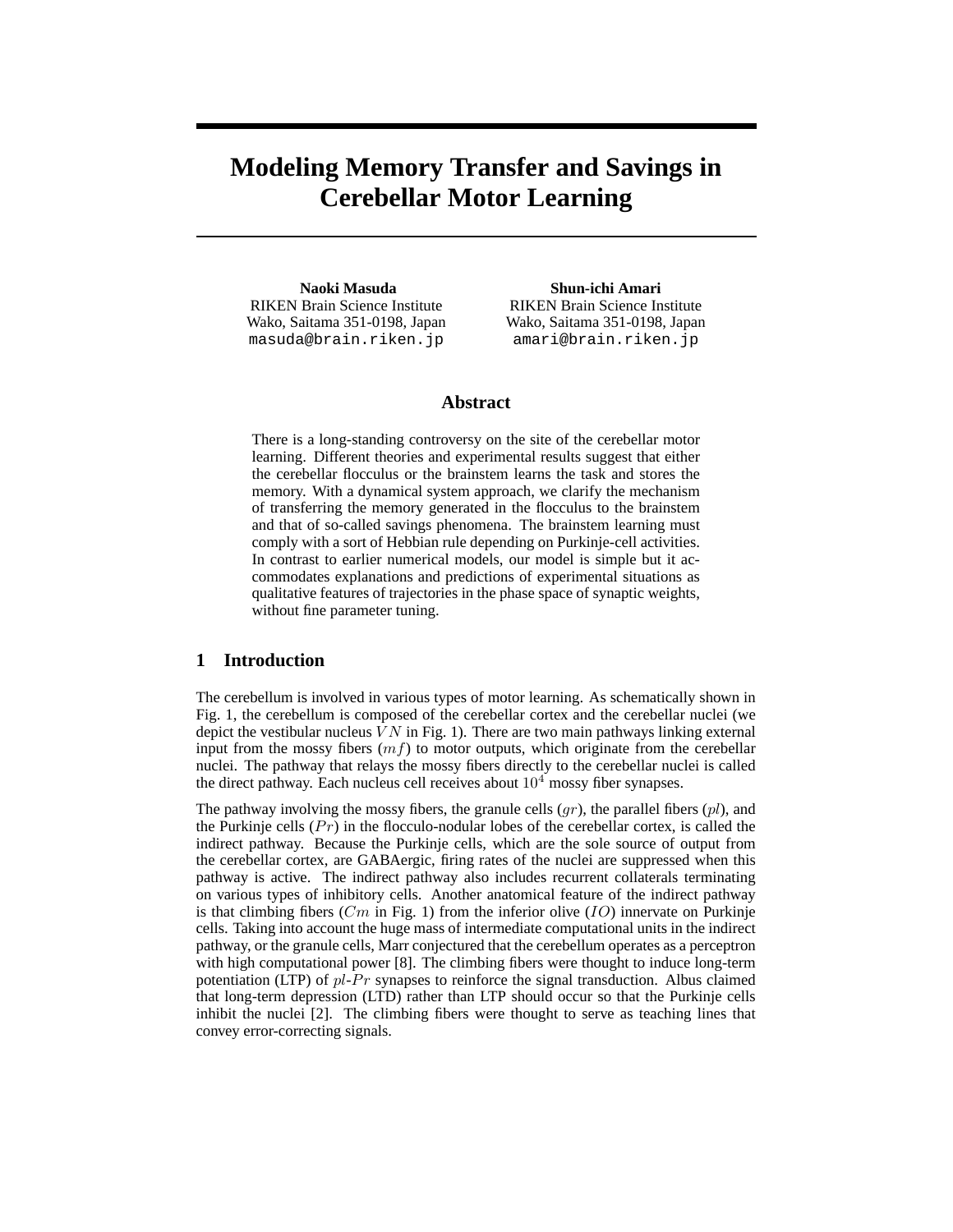# **Modeling Memory Transfer and Savings in Cerebellar Motor Learning**

**Naoki Masuda** RIKEN Brain Science Institute Wako, Saitama 351-0198, Japan masuda@brain.riken.jp

**Shun-ichi Amari** RIKEN Brain Science Institute Wako, Saitama 351-0198, Japan amari@brain.riken.jp

## **Abstract**

There is a long-standing controversy on the site of the cerebellar motor learning. Different theories and experimental results suggest that either the cerebellar flocculus or the brainstem learns the task and stores the memory. With a dynamical system approach, we clarify the mechanism of transferring the memory generated in the flocculus to the brainstem and that of so-called savings phenomena. The brainstem learning must comply with a sort of Hebbian rule depending on Purkinje-cell activities. In contrast to earlier numerical models, our model is simple but it accommodates explanations and predictions of experimental situations as qualitative features of trajectories in the phase space of synaptic weights, without fine parameter tuning.

## **1 Introduction**

The cerebellum is involved in various types of motor learning. As schematically shown in Fig. 1, the cerebellum is composed of the cerebellar cortex and the cerebellar nuclei (we depict the vestibular nucleus  $VN$  in Fig. 1). There are two main pathways linking external input from the mossy fibers  $(mf)$  to motor outputs, which originate from the cerebellar nuclei. The pathway that relays the mossy fibers directly to the cerebellar nuclei is called the direct pathway. Each nucleus cell receives about  $10<sup>4</sup>$  mossy fiber synapses.

The pathway involving the mossy fibers, the granule cells  $(qr)$ , the parallel fibers  $p_l$ , and the Purkinje cells  $(Pr)$  in the flocculo-nodular lobes of the cerebellar cortex, is called the indirect pathway. Because the Purkinje cells, which are the sole source of output from the cerebellar cortex, are GABAergic, firing rates of the nuclei are suppressed when this pathway is active. The indirect pathway also includes recurrent collaterals terminating on various types of inhibitory cells. Another anatomical feature of the indirect pathway is that climbing fibers (Cm in Fig. 1) from the inferior olive  $(IO)$  innervate on Purkinje cells. Taking into account the huge mass of intermediate computational units in the indirect pathway, or the granule cells, Marr conjectured that the cerebellum operates as a perceptron with high computational power [8]. The climbing fibers were thought to induce long-term potentiation (LTP) of  $pl-Pr$  synapses to reinforce the signal transduction. Albus claimed that long-term depression (LTD) rather than LTP should occur so that the Purkinje cells inhibit the nuclei [2]. The climbing fibers were thought to serve as teaching lines that convey error-correcting signals.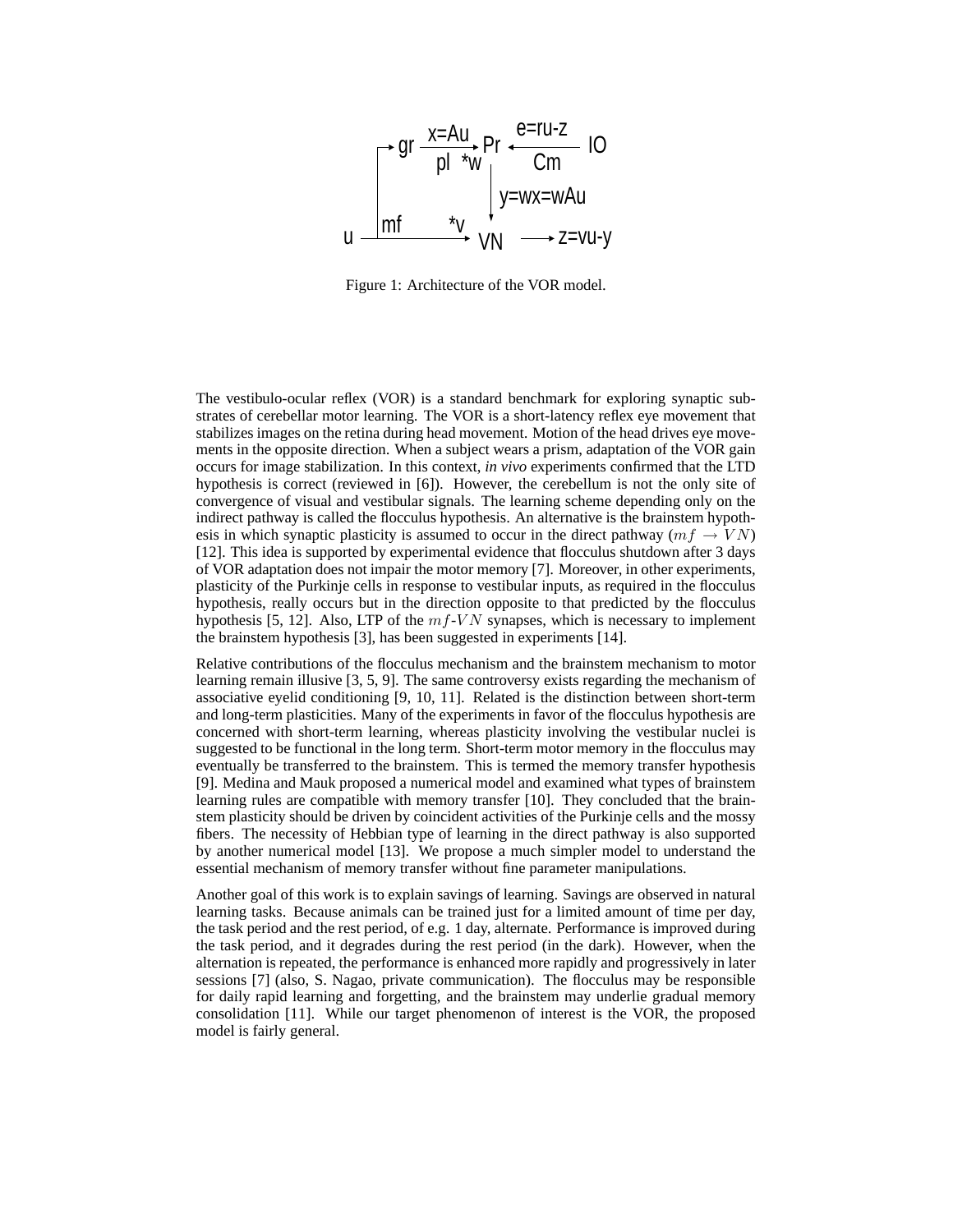

Figure 1: Architecture of the VOR model.

The vestibulo-ocular reflex (VOR) is a standard benchmark for exploring synaptic substrates of cerebellar motor learning. The VOR is a short-latency reflex eye movement that stabilizes images on the retina during head movement. Motion of the head drives eye movements in the opposite direction. When a subject wears a prism, adaptation of the VOR gain occurs for image stabilization. In this context, *in vivo* experiments confirmed that the LTD hypothesis is correct (reviewed in [6]). However, the cerebellum is not the only site of convergence of visual and vestibular signals. The learning scheme depending only on the indirect pathway is called the flocculus hypothesis. An alternative is the brainstem hypothesis in which synaptic plasticity is assumed to occur in the direct pathway ( $mf \rightarrow VN$ ) [12]. This idea is supported by experimental evidence that flocculus shutdown after 3 days of VOR adaptation does not impair the motor memory [7]. Moreover, in other experiments, plasticity of the Purkinje cells in response to vestibular inputs, as required in the flocculus hypothesis, really occurs but in the direction opposite to that predicted by the flocculus hypothesis [5, 12]. Also, LTP of the  $m_f$ -VN synapses, which is necessary to implement the brainstem hypothesis [3], has been suggested in experiments [14].

Relative contributions of the flocculus mechanism and the brainstem mechanism to motor learning remain illusive [3, 5, 9]. The same controversy exists regarding the mechanism of associative eyelid conditioning [9, 10, 11]. Related is the distinction between short-term and long-term plasticities. Many of the experiments in favor of the flocculus hypothesis are concerned with short-term learning, whereas plasticity involving the vestibular nuclei is suggested to be functional in the long term. Short-term motor memory in the flocculus may eventually be transferred to the brainstem. This is termed the memory transfer hypothesis [9]. Medina and Mauk proposed a numerical model and examined what types of brainstem learning rules are compatible with memory transfer [10]. They concluded that the brainstem plasticity should be driven by coincident activities of the Purkinje cells and the mossy fibers. The necessity of Hebbian type of learning in the direct pathway is also supported by another numerical model [13]. We propose a much simpler model to understand the essential mechanism of memory transfer without fine parameter manipulations.

Another goal of this work is to explain savings of learning. Savings are observed in natural learning tasks. Because animals can be trained just for a limited amount of time per day, the task period and the rest period, of e.g. 1 day, alternate. Performance is improved during the task period, and it degrades during the rest period (in the dark). However, when the alternation is repeated, the performance is enhanced more rapidly and progressively in later sessions [7] (also, S. Nagao, private communication). The flocculus may be responsible for daily rapid learning and forgetting, and the brainstem may underlie gradual memory consolidation [11]. While our target phenomenon of interest is the VOR, the proposed model is fairly general.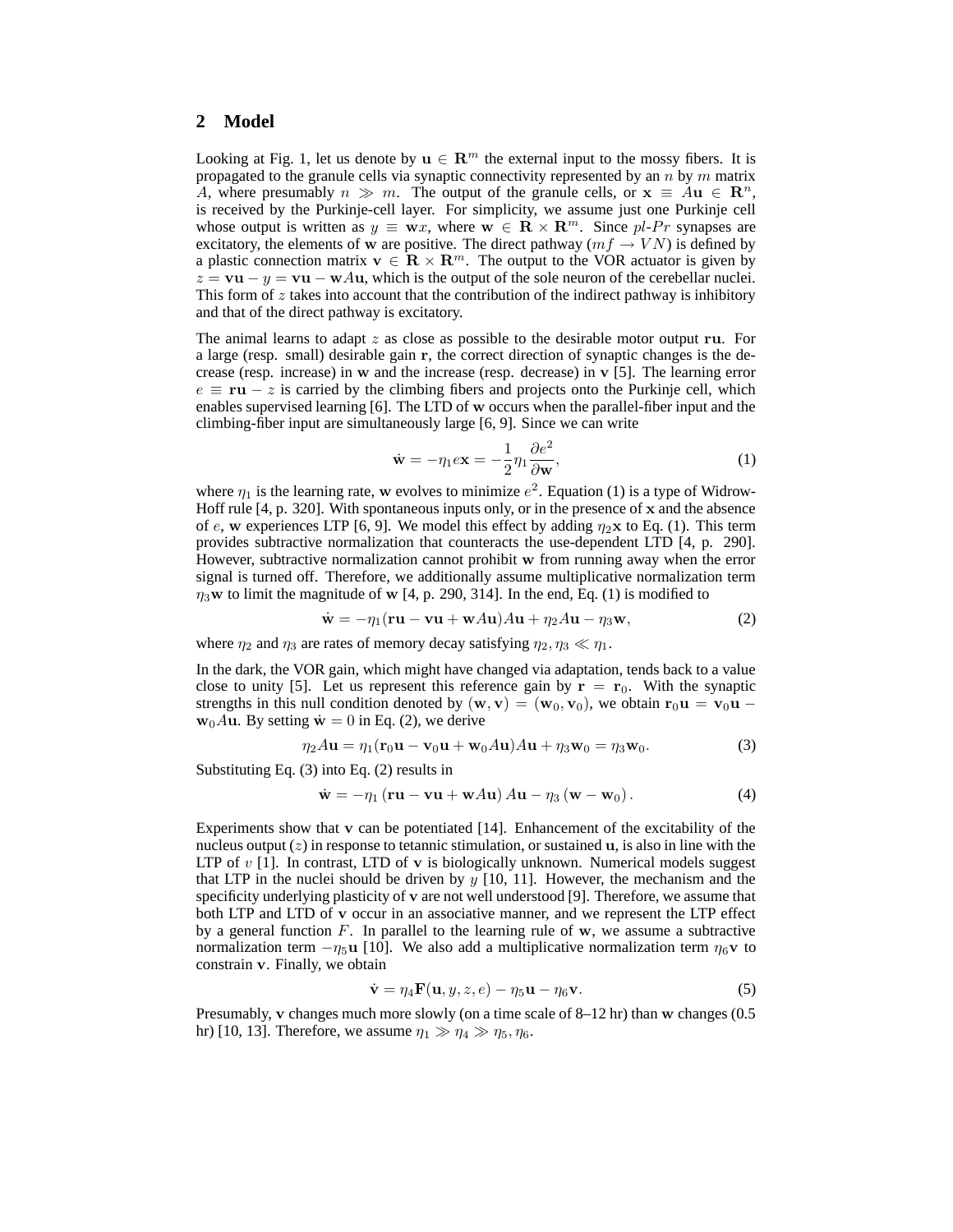# **2 Model**

Looking at Fig. 1, let us denote by  $\mathbf{u} \in \mathbb{R}^m$  the external input to the mossy fibers. It is propagated to the granule cells via synaptic connectivity represented by an  $n$  by  $m$  matrix A, where presumably  $n \gg m$ . The output of the granule cells, or  $\mathbf{x} \equiv A\mathbf{u} \in \mathbb{R}^n$ , is received by the Purkinje-cell layer. For simplicity, we assume just one Purkinje cell whose output is written as  $y \equiv \mathbf{w}x$ , where  $\mathbf{w} \in \mathbf{R} \times \mathbf{R}^m$ . Since pl-Pr synapses are excitatory, the elements of w are positive. The direct pathway ( $mf \rightarrow VN$ ) is defined by a plastic connection matrix  $\mathbf{v} \in \mathbb{R} \times \mathbb{R}^m$ . The output to the VOR actuator is given by  $z = \mathbf{v} \mathbf{u} - y = \mathbf{v} \mathbf{u} - \mathbf{w} A \mathbf{u}$ , which is the output of the sole neuron of the cerebellar nuclei. This form of  $z$  takes into account that the contribution of the indirect pathway is inhibitory and that of the direct pathway is excitatory.

The animal learns to adapt  $z$  as close as possible to the desirable motor output ru. For a large (resp. small) desirable gain r, the correct direction of synaptic changes is the decrease (resp. increase) in w and the increase (resp. decrease) in v [5]. The learning error  $e \equiv \mathbf{r} \mathbf{u} - z$  is carried by the climbing fibers and projects onto the Purkinje cell, which enables supervised learning [6]. The LTD of w occurs when the parallel-fiber input and the climbing-fiber input are simultaneously large [6, 9]. Since we can write

$$
\dot{\mathbf{w}} = -\eta_1 e \mathbf{x} = -\frac{1}{2} \eta_1 \frac{\partial e^2}{\partial \mathbf{w}},\tag{1}
$$

where  $\eta_1$  is the learning rate, w evolves to minimize  $e^2$ . Equation (1) is a type of Widrow-Hoff rule  $[4, p. 320]$ . With spontaneous inputs only, or in the presence of x and the absence of e, w experiences LTP [6, 9]. We model this effect by adding  $\eta_2$ **x** to Eq. (1). This term provides subtractive normalization that counteracts the use-dependent LTD [4, p. 290]. However, subtractive normalization cannot prohibit w from running away when the error signal is turned off. Therefore, we additionally assume multiplicative normalization term  $\eta_3$ w to limit the magnitude of w [4, p. 290, 314]. In the end, Eq. (1) is modified to

$$
\dot{\mathbf{w}} = -\eta_1 (\mathbf{r} \mathbf{u} - \mathbf{v} \mathbf{u} + \mathbf{w} A \mathbf{u}) A \mathbf{u} + \eta_2 A \mathbf{u} - \eta_3 \mathbf{w}, \tag{2}
$$

where  $\eta_2$  and  $\eta_3$  are rates of memory decay satisfying  $\eta_2, \eta_3 \ll \eta_1$ .

In the dark, the VOR gain, which might have changed via adaptation, tends back to a value close to unity [5]. Let us represent this reference gain by  $r = r_0$ . With the synaptic strengths in this null condition denoted by  $(\mathbf{w}, \mathbf{v}) = (\mathbf{w}_0, \mathbf{v}_0)$ , we obtain  $\mathbf{r}_0 \mathbf{u} = \mathbf{v}_0 \mathbf{u}$  $w_0Au$ . By setting  $\dot{w}=0$  in Eq. (2), we derive

$$
\eta_2 A \mathbf{u} = \eta_1 (\mathbf{r}_0 \mathbf{u} - \mathbf{v}_0 \mathbf{u} + \mathbf{w}_0 A \mathbf{u}) A \mathbf{u} + \eta_3 \mathbf{w}_0 = \eta_3 \mathbf{w}_0.
$$
 (3)

Substituting Eq. (3) into Eq. (2) results in

$$
\dot{\mathbf{w}} = -\eta_1 \left( \mathbf{r} \mathbf{u} - \mathbf{v} \mathbf{u} + \mathbf{w} A \mathbf{u} \right) A \mathbf{u} - \eta_3 \left( \mathbf{w} - \mathbf{w}_0 \right). \tag{4}
$$

Experiments show that v can be potentiated [14]. Enhancement of the excitability of the nucleus output  $(z)$  in response to tetannic stimulation, or sustained  $u$ , is also in line with the LTP of  $v$  [1]. In contrast, LTD of  $v$  is biologically unknown. Numerical models suggest that LTP in the nuclei should be driven by  $y$  [10, 11]. However, the mechanism and the specificity underlying plasticity of v are not well understood [9]. Therefore, we assume that both LTP and LTD of v occur in an associative manner, and we represent the LTP effect by a general function  $F$ . In parallel to the learning rule of  $w$ , we assume a subtractive normalization term  $-\eta_5$ u [10]. We also add a multiplicative normalization term  $\eta_6$ v to constrain v. Finally, we obtain

$$
\dot{\mathbf{v}} = \eta_4 \mathbf{F}(\mathbf{u}, y, z, e) - \eta_5 \mathbf{u} - \eta_6 \mathbf{v}.
$$
 (5)

Presumably, v changes much more slowly (on a time scale of 8–12 hr) than w changes (0.5 hr) [10, 13]. Therefore, we assume  $\eta_1 \gg \eta_4 \gg \eta_5, \eta_6$ .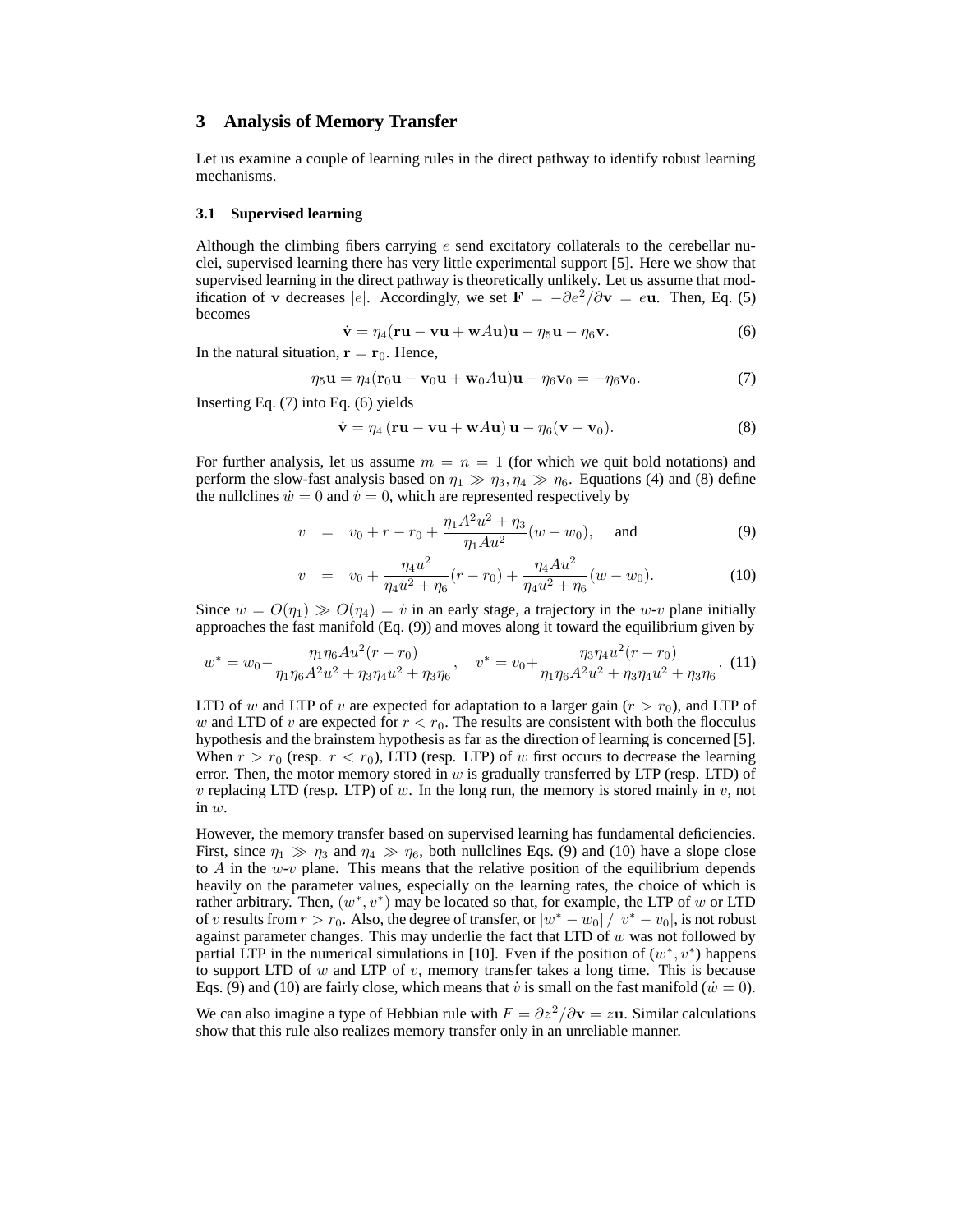## **3 Analysis of Memory Transfer**

Let us examine a couple of learning rules in the direct pathway to identify robust learning mechanisms.

#### **3.1 Supervised learning**

Although the climbing fibers carrying  $e$  send excitatory collaterals to the cerebellar nuclei, supervised learning there has very little experimental support [5]. Here we show that supervised learning in the direct pathway is theoretically unlikely. Let us assume that modification of v decreases |e|. Accordingly, we set  $\mathbf{F} = -\partial e^2/\partial \mathbf{v} = e\mathbf{u}$ . Then, Eq. (5) becomes

$$
\dot{\mathbf{v}} = \eta_4 (\mathbf{r} \mathbf{u} - \mathbf{v} \mathbf{u} + \mathbf{w} A \mathbf{u}) \mathbf{u} - \eta_5 \mathbf{u} - \eta_6 \mathbf{v}.
$$
 (6)

In the natural situation,  $\mathbf{r} = \mathbf{r}_0$ . Hence,

$$
\eta_5 \mathbf{u} = \eta_4 (\mathbf{r}_0 \mathbf{u} - \mathbf{v}_0 \mathbf{u} + \mathbf{w}_0 A \mathbf{u}) \mathbf{u} - \eta_6 \mathbf{v}_0 = -\eta_6 \mathbf{v}_0. \tag{7}
$$

Inserting Eq. (7) into Eq. (6) yields

$$
\dot{\mathbf{v}} = \eta_4 (\mathbf{r} \mathbf{u} - \mathbf{v} \mathbf{u} + \mathbf{w} A \mathbf{u}) \mathbf{u} - \eta_6 (\mathbf{v} - \mathbf{v}_0).
$$
 (8)

For further analysis, let us assume  $m = n = 1$  (for which we quit bold notations) and perform the slow-fast analysis based on  $\eta_1 \gg \eta_3, \eta_4 \gg \eta_6$ . Equations (4) and (8) define the nullclines  $\dot{w} = 0$  and  $\dot{v} = 0$ , which are represented respectively by

$$
v = v_0 + r - r_0 + \frac{\eta_1 A^2 u^2 + \eta_3}{\eta_1 A u^2} (w - w_0), \quad \text{and} \tag{9}
$$

$$
v = v_0 + \frac{\eta_4 u^2}{\eta_4 u^2 + \eta_6} (r - r_0) + \frac{\eta_4 A u^2}{\eta_4 u^2 + \eta_6} (w - w_0).
$$
 (10)

Since  $\dot{w} = O(\eta_1) \gg O(\eta_4) = \dot{v}$  in an early stage, a trajectory in the w-v plane initially approaches the fast manifold (Eq. (9)) and moves along it toward the equilibrium given by

$$
w^* = w_0 - \frac{\eta_1 \eta_6 A u^2 (r - r_0)}{\eta_1 \eta_6 A^2 u^2 + \eta_3 \eta_4 u^2 + \eta_3 \eta_6}, \quad v^* = v_0 + \frac{\eta_3 \eta_4 u^2 (r - r_0)}{\eta_1 \eta_6 A^2 u^2 + \eta_3 \eta_4 u^2 + \eta_3 \eta_6}.
$$
 (11)

LTD of w and LTP of v are expected for adaptation to a larger gain  $(r > r_0)$ , and LTP of w and LTD of v are expected for  $r < r_0$ . The results are consistent with both the flocculus hypothesis and the brainstem hypothesis as far as the direction of learning is concerned [5]. When  $r > r_0$  (resp.  $r < r_0$ ), LTD (resp. LTP) of w first occurs to decrease the learning error. Then, the motor memory stored in  $w$  is gradually transferred by LTP (resp. LTD) of v replacing LTD (resp. LTP) of w. In the long run, the memory is stored mainly in v, not in  $w$ .

However, the memory transfer based on supervised learning has fundamental deficiencies. First, since  $\eta_1 \gg \eta_3$  and  $\eta_4 \gg \eta_6$ , both nullclines Eqs. (9) and (10) have a slope close to A in the  $w-v$  plane. This means that the relative position of the equilibrium depends heavily on the parameter values, especially on the learning rates, the choice of which is rather arbitrary. Then,  $(w^*, v^*)$  may be located so that, for example, the LTP of w or LTD of v results from  $r > r_0$ . Also, the degree of transfer, or  $|w^* - w_0|/|v^* - v_0|$ , is not robust against parameter changes. This may underlie the fact that LTD of  $w$  was not followed by partial LTP in the numerical simulations in [10]. Even if the position of  $(w^*, v^*)$  happens to support LTD of  $w$  and LTP of  $v$ , memory transfer takes a long time. This is because Eqs. (9) and (10) are fairly close, which means that  $\dot{v}$  is small on the fast manifold ( $\dot{w} = 0$ ).

We can also imagine a type of Hebbian rule with  $F = \frac{\partial z^2}{\partial y} = zu$ . Similar calculations show that this rule also realizes memory transfer only in an unreliable manner.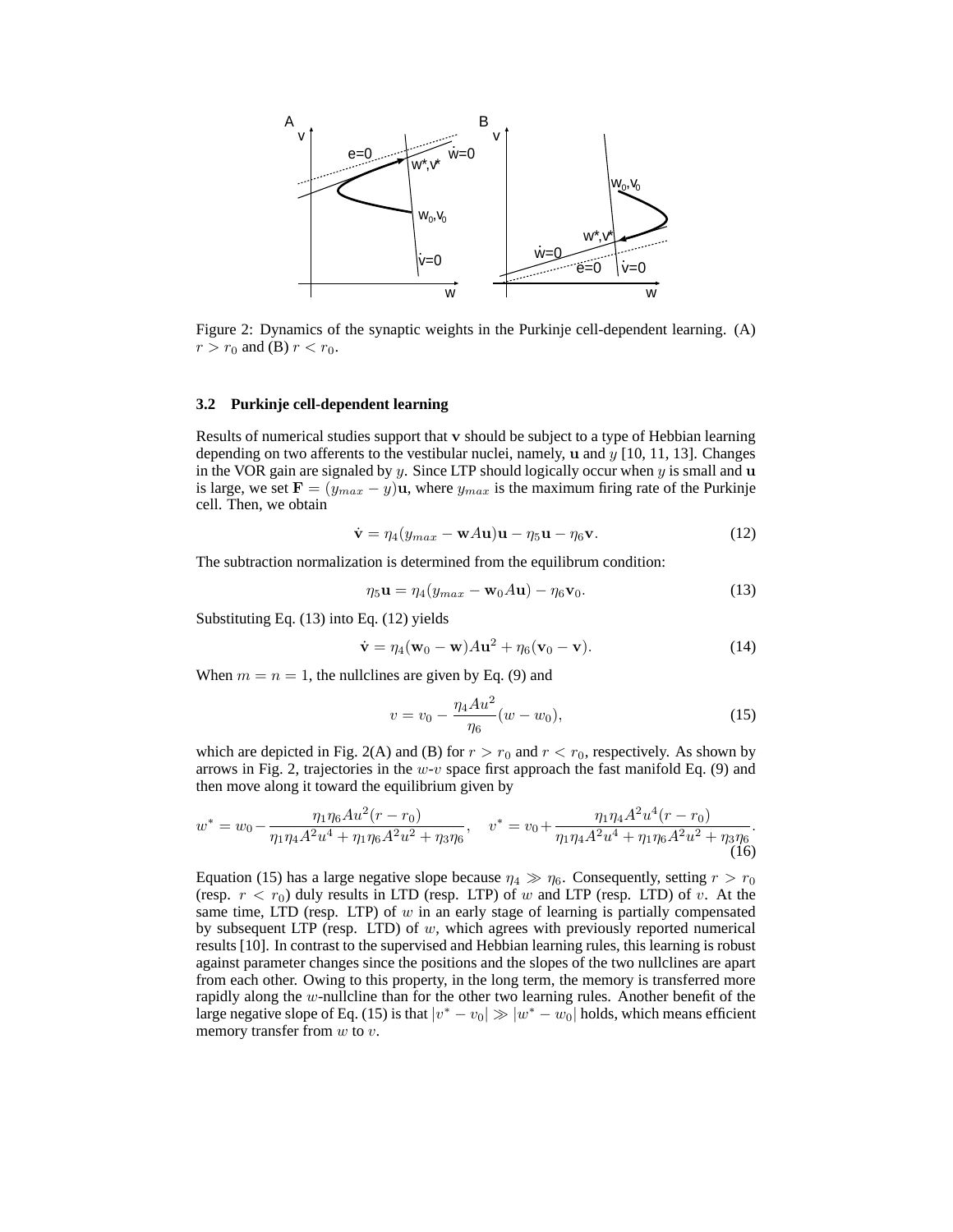

Figure 2: Dynamics of the synaptic weights in the Purkinje cell-dependent learning. (A)  $r > r_0$  and (B)  $r < r_0$ .

#### **3.2 Purkinje cell-dependent learning**

Results of numerical studies support that v should be subject to a type of Hebbian learning depending on two afferents to the vestibular nuclei, namely,  $\bf{u}$  and  $\bf{y}$  [10, 11, 13]. Changes in the VOR gain are signaled by y. Since LTP should logically occur when  $y$  is small and  $u$ is large, we set  $\mathbf{F} = (y_{max} - y)\mathbf{u}$ , where  $y_{max}$  is the maximum firing rate of the Purkinje cell. Then, we obtain

$$
\dot{\mathbf{v}} = \eta_4 (y_{max} - \mathbf{w} A \mathbf{u}) \mathbf{u} - \eta_5 \mathbf{u} - \eta_6 \mathbf{v}.
$$
 (12)

The subtraction normalization is determined from the equilibrum condition:

$$
\eta_5 \mathbf{u} = \eta_4 (y_{max} - \mathbf{w}_0 A \mathbf{u}) - \eta_6 \mathbf{v}_0. \tag{13}
$$

Substituting Eq. (13) into Eq. (12) yields

$$
\dot{\mathbf{v}} = \eta_4(\mathbf{w}_0 - \mathbf{w})A\mathbf{u}^2 + \eta_6(\mathbf{v}_0 - \mathbf{v}).
$$
\n(14)

When  $m = n = 1$ , the nullclines are given by Eq. (9) and

$$
v = v_0 - \frac{\eta_4 A u^2}{\eta_6} (w - w_0),
$$
\n(15)

which are depicted in Fig. 2(A) and (B) for  $r > r_0$  and  $r < r_0$ , respectively. As shown by arrows in Fig. 2, trajectories in the  $w-v$  space first approach the fast manifold Eq. (9) and then move along it toward the equilibrium given by

$$
w^* = w_0 - \frac{\eta_1 \eta_6 A u^2 (r - r_0)}{\eta_1 \eta_4 A^2 u^4 + \eta_1 \eta_6 A^2 u^2 + \eta_3 \eta_6}, \quad v^* = v_0 + \frac{\eta_1 \eta_4 A^2 u^4 (r - r_0)}{\eta_1 \eta_4 A^2 u^4 + \eta_1 \eta_6 A^2 u^2 + \eta_3 \eta_6}.
$$
\n(16)

Equation (15) has a large negative slope because  $\eta_4 \gg \eta_6$ . Consequently, setting  $r > r_0$ (resp.  $r < r_0$ ) duly results in LTD (resp. LTP) of w and LTP (resp. LTD) of v. At the same time, LTD (resp. LTP) of  $w$  in an early stage of learning is partially compensated by subsequent LTP (resp. LTD) of  $w$ , which agrees with previously reported numerical results [10]. In contrast to the supervised and Hebbian learning rules, this learning is robust against parameter changes since the positions and the slopes of the two nullclines are apart from each other. Owing to this property, in the long term, the memory is transferred more rapidly along the w-nullcline than for the other two learning rules. Another benefit of the large negative slope of Eq. (15) is that  $|v^* - v_0| \gg |w^* - w_0|$  holds, which means efficient memory transfer from  $w$  to  $v$ .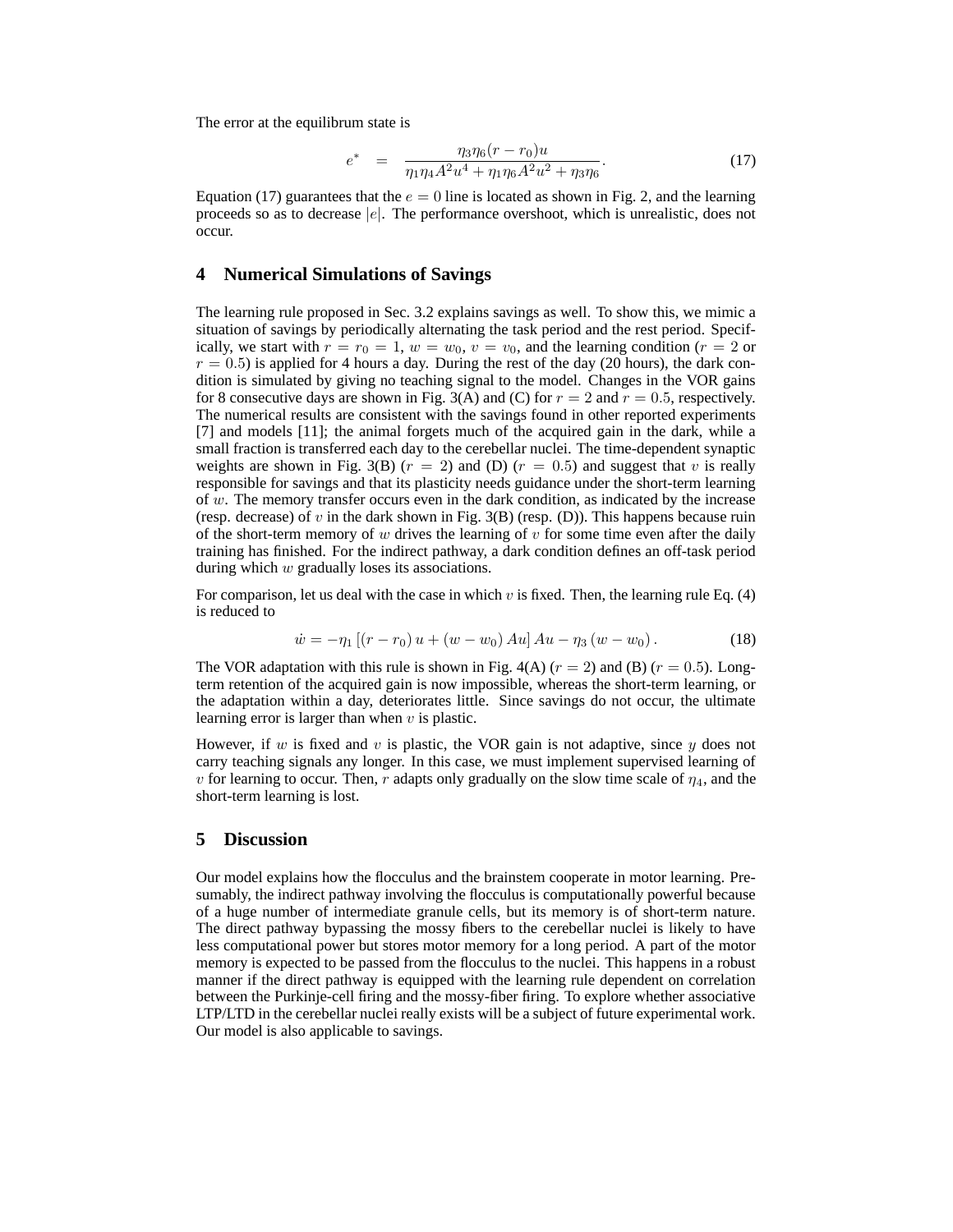The error at the equilibrum state is

$$
e^* = \frac{\eta_3 \eta_6 (r - r_0) u}{\eta_1 \eta_4 A^2 u^4 + \eta_1 \eta_6 A^2 u^2 + \eta_3 \eta_6}.
$$
\n(17)

Equation (17) guarantees that the  $e = 0$  line is located as shown in Fig. 2, and the learning proceeds so as to decrease  $|e|$ . The performance overshoot, which is unrealistic, does not occur.

## **4 Numerical Simulations of Savings**

The learning rule proposed in Sec. 3.2 explains savings as well. To show this, we mimic a situation of savings by periodically alternating the task period and the rest period. Specifically, we start with  $r = r_0 = 1$ ,  $w = w_0$ ,  $v = v_0$ , and the learning condition ( $r = 2$  or  $r = 0.5$ ) is applied for 4 hours a day. During the rest of the day (20 hours), the dark condition is simulated by giving no teaching signal to the model. Changes in the VOR gains for 8 consecutive days are shown in Fig. 3(A) and (C) for  $r = 2$  and  $r = 0.5$ , respectively. The numerical results are consistent with the savings found in other reported experiments [7] and models [11]; the animal forgets much of the acquired gain in the dark, while a small fraction is transferred each day to the cerebellar nuclei. The time-dependent synaptic weights are shown in Fig. 3(B) ( $r = 2$ ) and (D) ( $r = 0.5$ ) and suggest that v is really responsible for savings and that its plasticity needs guidance under the short-term learning of  $w$ . The memory transfer occurs even in the dark condition, as indicated by the increase (resp. decrease) of v in the dark shown in Fig.  $3(B)$  (resp. (D)). This happens because ruin of the short-term memory of w drives the learning of  $v$  for some time even after the daily training has finished. For the indirect pathway, a dark condition defines an off-task period during which w gradually loses its associations.

For comparison, let us deal with the case in which v is fixed. Then, the learning rule Eq.  $(4)$ is reduced to

$$
\dot{w} = -\eta_1 \left[ (r - r_0) u + (w - w_0) A u \right] A u - \eta_3 (w - w_0). \tag{18}
$$

The VOR adaptation with this rule is shown in Fig. 4(A) ( $r = 2$ ) and (B) ( $r = 0.5$ ). Longterm retention of the acquired gain is now impossible, whereas the short-term learning, or the adaptation within a day, deteriorates little. Since savings do not occur, the ultimate learning error is larger than when  $v$  is plastic.

However, if w is fixed and v is plastic, the VOR gain is not adaptive, since  $y$  does not carry teaching signals any longer. In this case, we must implement supervised learning of v for learning to occur. Then, r adapts only gradually on the slow time scale of  $\eta_4$ , and the short-term learning is lost.

# **5 Discussion**

Our model explains how the flocculus and the brainstem cooperate in motor learning. Presumably, the indirect pathway involving the flocculus is computationally powerful because of a huge number of intermediate granule cells, but its memory is of short-term nature. The direct pathway bypassing the mossy fibers to the cerebellar nuclei is likely to have less computational power but stores motor memory for a long period. A part of the motor memory is expected to be passed from the flocculus to the nuclei. This happens in a robust manner if the direct pathway is equipped with the learning rule dependent on correlation between the Purkinje-cell firing and the mossy-fiber firing. To explore whether associative LTP/LTD in the cerebellar nuclei really exists will be a subject of future experimental work. Our model is also applicable to savings.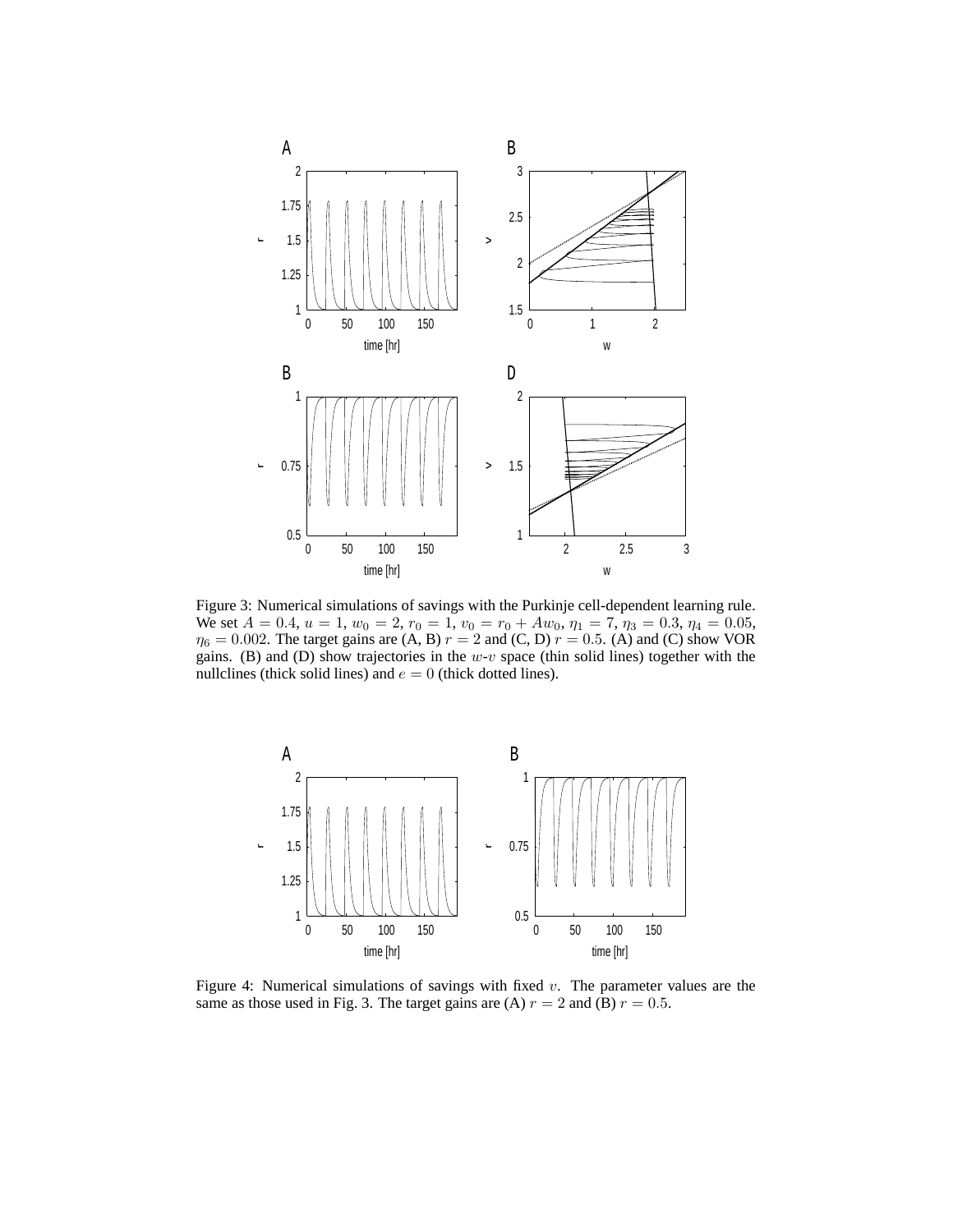

Figure 3: Numerical simulations of savings with the Purkinje cell-dependent learning rule. We set  $A = 0.4$ ,  $u = 1$ ,  $w_0 = 2$ ,  $r_0 = 1$ ,  $v_0 = r_0 + Aw_0$ ,  $\eta_1 = 7$ ,  $\eta_3 = 0.3$ ,  $\eta_4 = 0.05$ ,  $\eta_6 = 0.002$ . The target gains are (A, B)  $r = 2$  and (C, D)  $r = 0.5$ . (A) and (C) show VOR gains. (B) and (D) show trajectories in the  $w-v$  space (thin solid lines) together with the nullclines (thick solid lines) and  $e = 0$  (thick dotted lines).



Figure 4: Numerical simulations of savings with fixed v. The parameter values are the same as those used in Fig. 3. The target gains are (A)  $r = 2$  and (B)  $r = 0.5$ .